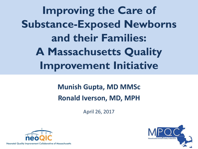**Improving the Care of Substance-Exposed Newborns and their Families: A Massachusetts Quality Improvement Initiative**

## **Munish Gupta, MD MMSc Ronald Iverson, MD, MPH**

April 26, 2017



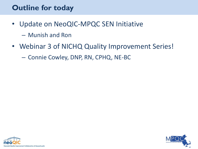## **Outline for today**

- Update on NeoQIC-MPQC SEN Initiative
	- Munish and Ron
- Webinar 3 of NICHQ Quality Improvement Series!

– Connie Cowley, DNP, RN, CPHQ, NE-BC

![](_page_1_Picture_5.jpeg)

![](_page_1_Picture_6.jpeg)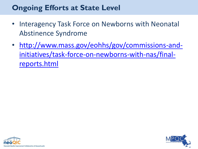## **Ongoing Efforts at State Level**

- Interagency Task Force on Newborns with Neonatal Abstinence Syndrome
- [http://www.mass.gov/eohhs/gov/commissions-and](http://www.mass.gov/eohhs/gov/commissions-and-initiatives/task-force-on-newborns-with-nas/final-reports.html)[initiatives/task-force-on-newborns-with-nas/final](http://www.mass.gov/eohhs/gov/commissions-and-initiatives/task-force-on-newborns-with-nas/final-reports.html)[reports.html](http://www.mass.gov/eohhs/gov/commissions-and-initiatives/task-force-on-newborns-with-nas/final-reports.html)

![](_page_2_Picture_3.jpeg)

![](_page_2_Picture_4.jpeg)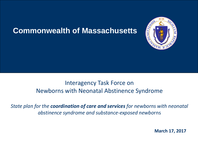## **Commonwealth of Massachusetts**

![](_page_3_Picture_1.jpeg)

### Interagency Task Force on Newborns with Neonatal Abstinence Syndrome

*State plan for the coordination of care and services for newborns with neonatal abstinence syndrome and substance-exposed newbo*rns

 **March 17, 2017**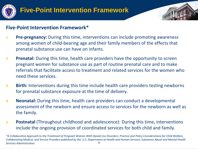![](_page_4_Picture_0.jpeg)

![](_page_4_Picture_2.jpeg)

#### **Five-Point Intervention Framework\***

- **1. Pre-pregnancy:** During this time, interventions can include promoting awareness among women of child-bearing age and their family members of the effects that prenatal substance use can have on infants.
- **2. Prenatal:** During this time, health care providers have the opportunity to screen pregnant women for substance use as part of routine prenatal care and to make referrals that facilitate access to treatment and related services for the women who need these services.
- **3. Birth:** Interventions during this time include health care providers testing newborns for prenatal substance exposure at the time of delivery.
- **4. Neonatal:** During this time, health care providers can conduct a developmental assessment of the newborn and ensure access to services for the newborn as well as the family.
- **5. Postnatal** (Throughout childhood and adolescence): During this time, interventions include the ongoing provision of coordinated services for both child and family.

<sup>5</sup> *\*A Collaborative Approach to the Treatment of Pregnant Women With Opioid Use Disorders: Practice and Policy Considerations for Child Welfare, Collaborating Medical, and Service Providers published by the U.S. Department of Health and Human Services, Substance Abuse and Mental Health Services Administration*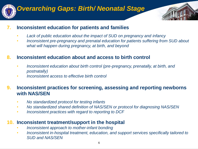![](_page_5_Picture_0.jpeg)

## *Overarching Gaps: Birth/ Neonatal Stage*

![](_page_5_Picture_2.jpeg)

#### **7. Inconsistent education for patients and families**

- *Lack of public education about the impact of SUD on pregnancy and infancy*
- *Inconsistent pre-pregnancy and prenatal education for patients suffering from SUD about what will happen during pregnancy, at birth, and beyond*

#### **8. Inconsistent education about and access to birth control**

- *Inconsistent education about birth control (pre-pregnancy, prenatally, at birth, and postnatally)*
- *Inconsistent access to effective birth control*

#### **9. Inconsistent practices for screening, assessing and reporting newborns with NAS/SEN**

- *No standardized protocol for testing infants*
- *No standardized shared definition of NAS/SEN or protocol for diagnosing NAS/SEN*
- *Inconsistent practices with regard to reporting to DCF*

#### **10. Inconsistent treatment/support in the hospital**

- *Inconsistent approach to mother-infant bonding*
- *Inconsistent in-hospital treatment, education, and support services specifically tailored to SUD and NAS/SEN*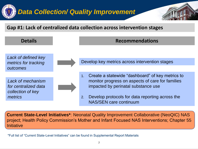# *Data Collection/ Quality Improvement*

#### **Gap #1: Lack of centralized data collection across intervention stages**

![](_page_6_Figure_2.jpeg)

**Current State-Level Initiatives\***: Neonatal Quality Improvement Collaborative (NeoQIC) NAS project; Health Policy Commission's Mother and Infant Focused NAS Interventions; Chapter 55 **Initiative** 

\*Full list of "Current State-Level Initiatives" can be found in Supplemental Report Materials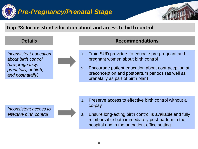![](_page_7_Picture_0.jpeg)

#### **Gap #8: Inconsistent education about and access to birth control**

![](_page_7_Figure_2.jpeg)

- 1. Train SUD providers to educate pre-pregnant and pregnant women about birth control
- 2. Encourage patient education about contraception at preconception and postpartum periods (as well as prenatally as part of birth plan)

*Inconsistent access to effective birth control* 

![](_page_7_Picture_7.jpeg)

- 1. Preserve access to effective birth control without a co-pay
- 2. Ensure long-acting birth control is available and fully reimbursable both immediately post-partum in the hospital and in the outpatient office setting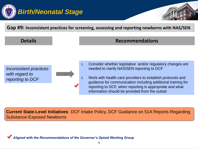![](_page_8_Picture_0.jpeg)

#### **Gap #9: Inconsistent practices for screening, assessing and reporting newborns with NAS/SEN**

#### **Details CONSIDERENT CONSIDERED PROPERTY Recommendations**

*Inconsistent practices with regard to reporting to DCF*

![](_page_8_Figure_5.jpeg)

2. Work with health care providers to establish protocols and guidance for communication including additional training for reporting to DCF, when reporting is appropriate and what information should be provided from the outset

**Current State-Level Initiatives**: DCF Intake Policy, DCF Guidance on 51A Reports Regarding Substance-Exposed Newborns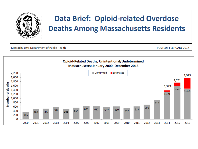![](_page_9_Picture_0.jpeg)

![](_page_9_Figure_1.jpeg)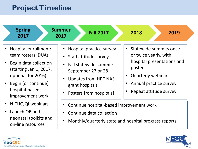## **Project Timeline**

![](_page_10_Figure_1.jpeg)

![](_page_10_Picture_2.jpeg)

![](_page_10_Picture_3.jpeg)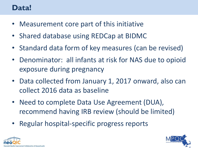## **Data!**

- Measurement core part of this initiative
- Shared database using REDCap at BIDMC
- Standard data form of key measures (can be revised)
- Denominator: all infants at risk for NAS due to opioid exposure during pregnancy
- Data collected from January 1, 2017 onward, also can collect 2016 data as baseline
- Need to complete Data Use Agreement (DUA), recommend having IRB review (should be limited)
- Regular hospital-specific progress reports

![](_page_11_Picture_8.jpeg)

![](_page_11_Picture_9.jpeg)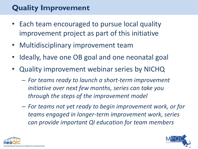## **Quality Improvement**

- Each team encouraged to pursue local quality improvement project as part of this initiative
- Multidisciplinary improvement team
- Ideally, have one OB goal and one neonatal goal
- Quality improvement webinar series by NICHQ
	- *For teams ready to launch a short-term improvement initiative over next few months, series can take you through the steps of the improvement model*
	- *For teams not yet ready to begin improvement work, or for teams engaged in longer-term improvement work, series can provide important QI education for team members*

![](_page_12_Picture_7.jpeg)

![](_page_12_Picture_8.jpeg)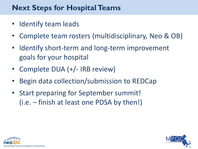## **Next Steps for Hospital Teams**

- Identify team leads
- Complete team rosters (multidisciplinary, Neo & OB)
- Identify short-term and long-term improvement goals for your hospital
- Complete DUA (+/- IRB review)
- Begin data collection/submission to REDCap
- Start preparing for September summit! (i.e. – finish at least one PDSA by then!)

![](_page_13_Picture_7.jpeg)

![](_page_13_Picture_8.jpeg)